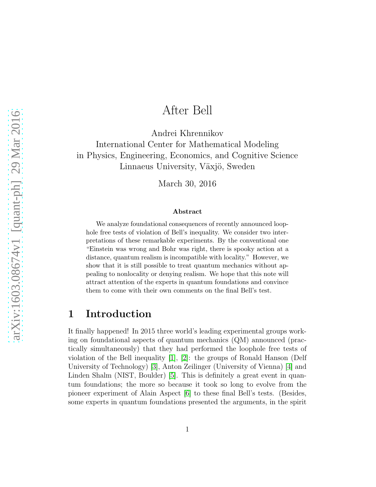# After Bell

Andrei Khrennikov International Center for Mathematical Modeling in Physics, Engineering, Economics, and Cognitive Science Linnaeus University, Växjö, Sweden

March 30, 2016

#### Abstract

We analyze foundational consequences of recently announced loophole free tests of violation of Bell's inequality. We consider two interpretations of these remarkable experiments. By the conventional one "Einstein was wrong and Bohr was right, there is spooky action at a distance, quantum realism is incompatible with locality." However, we show that it is still possible to treat quantum mechanics without appealing to nonlocality or denying realism. We hope that this note will attract attention of the experts in quantum foundations and convince them to come with their own comments on the final Bell's test.

## 1 Introduction

It finally happened! In 2015 three world's leading experimental groups working on foundational aspects of quantum mechanics (QM) announced (practically simultaneously) that they had performed the loophole free tests of violation of the Bell inequality [\[1\]](#page-19-0), [\[2\]](#page-19-1): the groups of Ronald Hanson (Delf University of Technology) [\[3\]](#page-19-2), Anton Zeilinger (University of Vienna) [\[4\]](#page-20-0) and Linden Shalm (NIST, Boulder) [\[5\]](#page-20-1). This is definitely a great event in quantum foundations; the more so because it took so long to evolve from the pioneer experiment of Alain Aspect [\[6\]](#page-20-2) to these final Bell's tests. (Besides, some experts in quantum foundations presented the arguments, in the spirit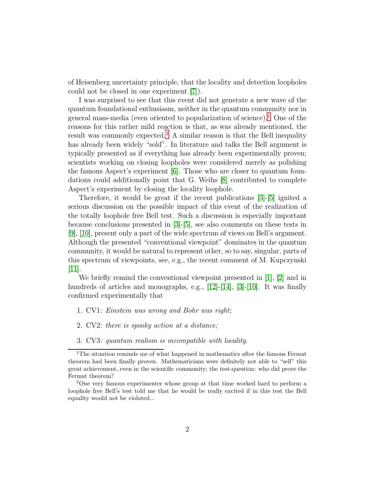of Heisenberg uncertainty principle, that the locality and detection loopholes could not be closed in one experiment [\[7\]](#page-20-3)).

I was surprised to see that this event did not generate a new wave of the quantum foundational enthusiasm, neither in the quantum community nor in general mass-media (even oriented to popularization of science).[1](#page-1-0) One of the reasons for this rather mild reaction is that, as was already mentioned, the result was commonly expected.<sup>[2](#page-1-1)</sup> A similar reason is that the Bell inequality has already been widely "sold". In literature and talks the Bell argument is typically presented as if everything has already been experimentally proven; scientists working on closing loopholes were considered merely as polishing the famous Aspect's experiment [\[6\]](#page-20-2). Those who are closer to quantum foundations could additionally point that G. Weihs [\[8\]](#page-20-4) contributed to complete Aspect's experiment by closing the locality loophole.

Therefore, it would be great if the recent publications [\[3\]](#page-19-2)-[\[5\]](#page-20-1) ignited a serious discussion on the possible impact of this event of the realization of the totally loophole free Bell test. Such a discussion is especially important because conclusions presented in [\[3\]](#page-19-2)-[\[5\]](#page-20-1), see also comments on these tests in [\[9\]](#page-20-5), [\[10\]](#page-20-6), present only a part of the wide spectrum of views on Bell's argument. Although the presented "conventional viewpoint" dominates in the quantum community, it would be natural to represent other, so to say, singular, parts of this spectrum of viewpoints, see, e.g., the recent comment of M. Kupczynski  $|11|$ .

We briefly remind the conventional viewpoint presented in [\[1\]](#page-19-0), [\[2\]](#page-19-1) and in hundreds of articles and monographs, e.g., [\[12\]](#page-20-8)-[\[14\]](#page-20-9), [\[3\]](#page-19-2)-[\[10\]](#page-20-6). It was finally confirmed experimentally that

- 1. CV1: *Einstein was wrong and Bohr was right;*
- 2. CV2: *there is spooky action at a distance;*
- 3. CV3: *quantum realism is incompatible with locality.*

<span id="page-1-0"></span><sup>&</sup>lt;sup>1</sup>The situation reminds me of what happened in mathematics after the famous Fermat theorem had been finally proven. Mathematicians were definitely not able to "sell" this great achievement, even in the scientific community; the test-question: who did prove the Fermat theorem?

<span id="page-1-1"></span><sup>&</sup>lt;sup>2</sup>One very famous experimenter whose group at that time worked hard to perform a loophole free Bell's test told me that he would be really excited if in this test the Bell equality would not be violated...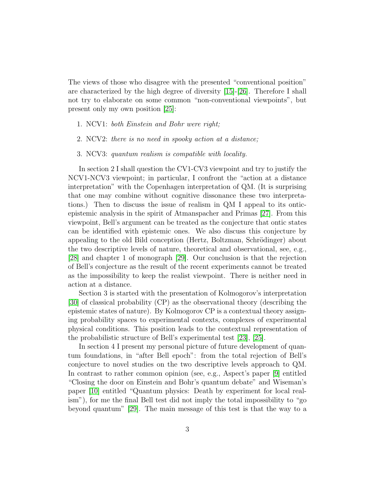The views of those who disagree with the presented "conventional position" are characterized by the high degree of diversity [\[15\]](#page-20-10)-[\[26\]](#page-21-0). Therefore I shall not try to elaborate on some common "non-conventional viewpoints", but present only my own position [\[25\]](#page-21-1):

- 1. NCV1: *both Einstein and Bohr were right;*
- 2. NCV2: *there is no need in spooky action at a distance;*
- 3. NCV3: *quantum realism is compatible with locality.*

In section 2 I shall question the CV1-CV3 viewpoint and try to justify the NCV1-NCV3 viewpoint; in particular, I confront the "action at a distance interpretation" with the Copenhagen interpretation of QM. (It is surprising that one may combine without cognitive dissonance these two interpretations.) Then to discuss the issue of realism in QM I appeal to its onticepistemic analysis in the spirit of Atmanspacher and Primas [\[27\]](#page-21-2). From this viewpoint, Bell's argument can be treated as the conjecture that ontic states can be identified with epistemic ones. We also discuss this conjecture by appealing to the old Bild conception (Hertz, Boltzman, Schrödinger) about the two descriptive levels of nature, theoretical and observational, see, e.g., [\[28\]](#page-22-0) and chapter 1 of monograph [\[29\]](#page-22-1). Our conclusion is that the rejection of Bell's conjecture as the result of the recent experiments cannot be treated as the impossibility to keep the realist viewpoint. There is neither need in action at a distance.

Section 3 is started with the presentation of Kolmogorov's interpretation [\[30\]](#page-22-2) of classical probability (CP) as the observational theory (describing the epistemic states of nature). By Kolmogorov CP is a contextual theory assigning probability spaces to experimental contexts, complexes of experimental physical conditions. This position leads to the contextual representation of the probabilistic structure of Bell's experimental test [\[23\]](#page-21-3), [\[25\]](#page-21-1).

In section 4 I present my personal picture of future development of quantum foundations, in "after Bell epoch": from the total rejection of Bell's conjecture to novel studies on the two descriptive levels approach to QM. In contrast to rather common opinion (see, e.g., Aspect's paper [\[9\]](#page-20-5) entitled "Closing the door on Einstein and Bohr's quantum debate" and Wiseman's paper [\[10\]](#page-20-6) entitled "Quantum physics: Death by experiment for local realism"), for me the final Bell test did not imply the total impossibility to "go beyond quantum" [\[29\]](#page-22-1). The main message of this test is that the way to a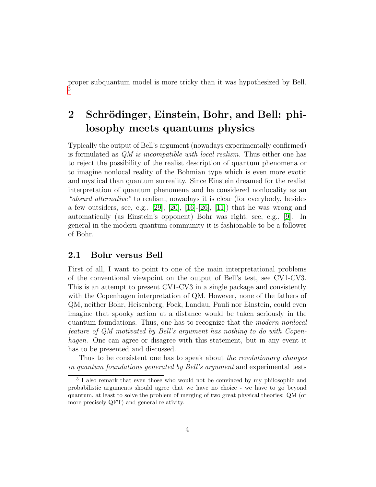proper subquantum model is more tricky than it was hypothesized by Bell. [3](#page-3-0)

## <span id="page-3-1"></span>2 Schrödinger, Einstein, Bohr, and Bell: philosophy meets quantums physics

Typically the output of Bell's argument (nowadays experimentally confirmed) is formulated as *QM is incompatible with local realism.* Thus either one has to reject the possibility of the realist description of quantum phenomena or to imagine nonlocal reality of the Bohmian type which is even more exotic and mystical than quantum surreality. Since Einstein dreamed for the realist interpretation of quantum phenomena and he considered nonlocality as an *"absurd alternative"* to realism, nowadays it is clear (for everybody, besides a few outsiders, see, e.g.,  $[29]$ ,  $[20]$ ,  $[16]$ - $[26]$ ,  $[11]$ ) that he was wrong and automatically (as Einstein's opponent) Bohr was right, see, e.g., [\[9\]](#page-20-5). In general in the modern quantum community it is fashionable to be a follower of Bohr.

### 2.1 Bohr versus Bell

First of all, I want to point to one of the main interpretational problems of the conventional viewpoint on the output of Bell's test, see CV1-CV3. This is an attempt to present CV1-CV3 in a single package and consistently with the Copenhagen interpretation of QM. However, none of the fathers of QM, neither Bohr, Heisenberg, Fock, Landau, Pauli nor Einstein, could even imagine that spooky action at a distance would be taken seriously in the quantum foundations. Thus, one has to recognize that the *modern nonlocal feature of QM motivated by Bell's argument has nothing to do with Copenhagen.* One can agree or disagree with this statement, but in any event it has to be presented and discussed.

Thus to be consistent one has to speak about *the revolutionary changes in quantum foundations generated by Bell's argument* and experimental tests

<span id="page-3-0"></span><sup>&</sup>lt;sup>3</sup> I also remark that even those who would not be convinced by my philosophic and probabilistic arguments should agree that we have no choice - we have to go beyond quantum, at least to solve the problem of merging of two great physical theories: QM (or more precisely QFT) and general relativity.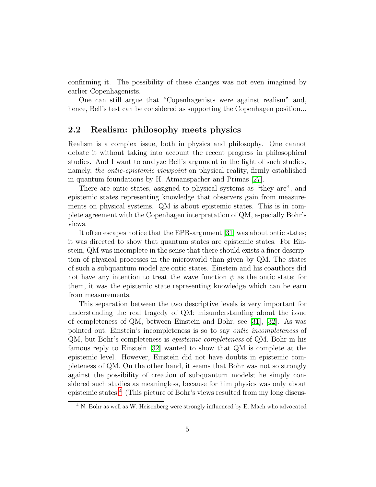confirming it. The possibility of these changes was not even imagined by earlier Copenhagenists.

One can still argue that "Copenhagenists were against realism" and, hence, Bell's test can be considered as supporting the Copenhagen position...

### 2.2 Realism: philosophy meets physics

Realism is a complex issue, both in physics and philosophy. One cannot debate it without taking into account the recent progress in philosophical studies. And I want to analyze Bell's argument in the light of such studies, namely, *the ontic-epistemic viewpoint* on physical reality, firmly established in quantum foundations by H. Atmanspacher and Primas [\[27\]](#page-21-2).

There are ontic states, assigned to physical systems as "they are", and epistemic states representing knowledge that observers gain from measurements on physical systems. QM is about epistemic states. This is in complete agreement with the Copenhagen interpretation of QM, especially Bohr's views.

It often escapes notice that the EPR-argument [\[31\]](#page-22-3) was about ontic states; it was directed to show that quantum states are epistemic states. For Einstein, QM was incomplete in the sense that there should exists a finer description of physical processes in the microworld than given by QM. The states of such a subquantum model are ontic states. Einstein and his coauthors did not have any intention to treat the wave function  $\psi$  as the ontic state; for them, it was the epistemic state representing knowledge which can be earn from measurements.

This separation between the two descriptive levels is very important for understanding the real tragedy of QM: misunderstanding about the issue of completeness of QM, between Einstein and Bohr, see [\[31\]](#page-22-3), [\[32\]](#page-22-4). As was pointed out, Einstein's incompleteness is so to say *ontic incompleteness* of QM, but Bohr's completeness is *epistemic completeness* of QM. Bohr in his famous reply to Einstein [\[32\]](#page-22-4) wanted to show that QM is complete at the epistemic level. However, Einstein did not have doubts in epistemic completeness of QM. On the other hand, it seems that Bohr was not so strongly against the possibility of creation of subquantum models; he simply considered such studies as meaningless, because for him physics was only about epistemic states.[4](#page-4-0) (This picture of Bohr's views resulted from my long discus-

<span id="page-4-0"></span><sup>4</sup> N. Bohr as well as W. Heisenberg were strongly influenced by E. Mach who advocated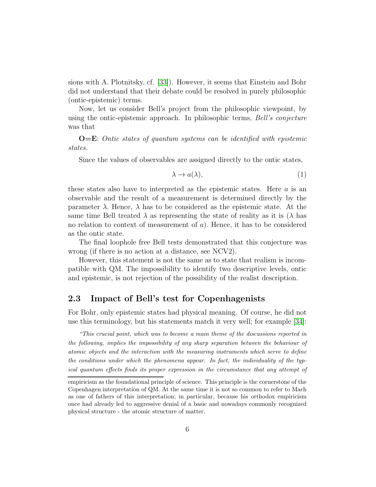sions with A. Plotnitsky, cf. [\[33\]](#page-22-5)). However, it seems that Einstein and Bohr did not understand that their debate could be resolved in purely philosophic (ontic-epistemic) terms.

Now, let us consider Bell's project from the philosophic viewpoint, by using the ontic-epistemic approach. In philosophic terms, *Bell's conjecture* was that

O=E: *Ontic states of quantum systems can be identified with epistemic states.*

Since the values of observables are assigned directly to the ontic states,

<span id="page-5-0"></span>
$$
\lambda \to a(\lambda),\tag{1}
$$

these states also have to interpreted as the epistemic states. Here a is an observable and the result of a measurement is determined directly by the parameter  $\lambda$ . Hence,  $\lambda$  has to be considered as the epistemic state. At the same time Bell treated  $\lambda$  as representing the state of reality as it is ( $\lambda$  has no relation to context of measurement of  $a$ ). Hence, it has to be considered as the ontic state.

The final loophole free Bell tests demonstrated that this conjecture was wrong (if there is no action at a distance, see NCV2).

However, this statement is not the same as to state that realism is incompatible with QM. The impossibility to identify two descriptive levels, ontic and epistemic, is not rejection of the possibility of the realist description.

### 2.3 Impact of Bell's test for Copenhagenists

For Bohr, only epistemic states had physical meaning. Of course, he did not use this terminology, but his statements match it very well; for example [\[34\]](#page-22-6):

"This crucial point, which was to become a main theme of the discussions reported in the following, implies the impossibility of any sharp separation between the behaviour of atomic objects and the interaction with the measuring instruments which serve to define the conditions under which the phenomena appear. In fact, the individuality of the typical quantum effects finds its proper expression in the circumstance that any attempt of

empiricism as the foundational principle of science. This principle is the cornerstone of the Copenhagen interpretation of QM. At the same time it is not so common to refer to Mach as one of fathers of this interpretation; in particular, because his orthodox empiricism once had already led to aggressive denial of a basic and nowadays commonly recognized physical structure - the atomic structure of matter.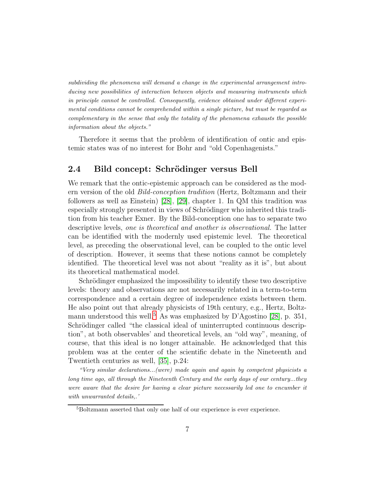subdividing the phenomena will demand a change in the experimental arrangement introducing new possibilities of interaction between objects and measuring instruments which in principle cannot be controlled. Consequently, evidence obtained under different experimental conditions cannot be comprehended within a single picture, but must be regarded as complementary in the sense that only the totality of the phenomena exhausts the possible information about the objects."

Therefore it seems that the problem of identification of ontic and epistemic states was of no interest for Bohr and "old Copenhagenists."

### 2.4 Bild concept: Schrödinger versus Bell

We remark that the ontic-epistemic approach can be considered as the modern version of the old *Bild-conception tradition* (Hertz, Boltzmann and their followers as well as Einstein) [\[28\]](#page-22-0), [\[29\]](#page-22-1), chapter 1. In QM this tradition was especially strongly presented in views of Schrödinger who inherited this tradition from his teacher Exner. By the Bild-conception one has to separate two descriptive levels, *one is theoretical and another is observational.* The latter can be identified with the modernly used epistemic level. The theoretical level, as preceding the observational level, can be coupled to the ontic level of description. However, it seems that these notions cannot be completely identified. The theoretical level was not about "reality as it is", but about its theoretical mathematical model.

Schrödinger emphasized the impossibility to identify these two descriptive levels: theory and observations are not necessarily related in a term-to-term correspondence and a certain degree of independence exists between them. He also point out that already physicists of 19th century, e.g., Hertz, Boltz-mann understood this well.<sup>[5](#page-6-0)</sup> As was emphasized by D'Agostino [\[28\]](#page-22-0), p. 351, Schrödinger called "the classical ideal of uninterrupted continuous description", at both observables' and theoretical levels, an "old way", meaning, of course, that this ideal is no longer attainable. He acknowledged that this problem was at the center of the scientific debate in the Nineteenth and Twentieth centuries as well, [\[35\]](#page-22-7), p.24:

"Very similar declarations...(were) made again and again by competent physicists a long time ago, all through the Nineteenth Century and the early days of our century...they were aware that the desire for having a clear picture necessarily led one to encumber it with unwarranted details..<sup>'</sup>

<span id="page-6-0"></span><sup>5</sup>Boltzmann asserted that only one half of our experience is ever experience.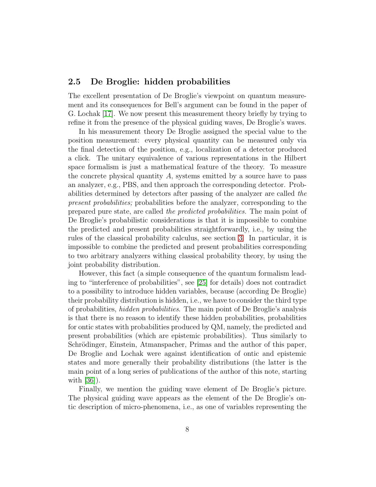### 2.5 De Broglie: hidden probabilities

The excellent presentation of De Broglie's viewpoint on quantum measurement and its consequences for Bell's argument can be found in the paper of G. Lochak [\[17\]](#page-21-5). We now present this measurement theory briefly by trying to refine it from the presence of the physical guiding waves, De Broglie's waves.

In his measurement theory De Broglie assigned the special value to the position measurement: every physical quantity can be measured only via the final detection of the position, e.g., localization of a detector produced a click. The unitary equivalence of various representations in the Hilbert space formalism is just a mathematical feature of the theory. To measure the concrete physical quantity  $A$ , systems emitted by a source have to pass an analyzer, e.g., PBS, and then approach the corresponding detector. Probabilities determined by detectors after passing of the analyzer are called *the present probabilities;* probabilities before the analyzer, corresponding to the prepared pure state, are called *the predicted probabilities.* The main point of De Broglie's probabilistic considerations is that it is impossible to combine the predicted and present probabilities straightforwardly, i.e., by using the rules of the classical probability calculus, see section [3.](#page-10-0) In particular, it is impossible to combine the predicted and present probabilities corresponding to two arbitrary analyzers withing classical probability theory, by using the joint probability distribution.

However, this fact (a simple consequence of the quantum formalism leading to "interference of probabilities", see [\[25\]](#page-21-1) for details) does not contradict to a possibility to introduce hidden variables, because (according De Broglie) their probability distribution is hidden, i.e., we have to consider the third type of probabilities, *hidden probabilities*. The main point of De Broglie's analysis is that there is no reason to identify these hidden probabilities, probabilities for ontic states with probabilities produced by QM, namely, the predicted and present probabilities (which are epistemic probabilities). Thus similarly to Schrödinger, Einstein, Atmanspacher, Primas and the author of this paper, De Broglie and Lochak were against identification of ontic and epistemic states and more generally their probability distributions (the latter is the main point of a long series of publications of the author of this note, starting with [\[36\]](#page-22-8)).

Finally, we mention the guiding wave element of De Broglie's picture. The physical guiding wave appears as the element of the De Broglie's ontic description of micro-phenomena, i.e., as one of variables representing the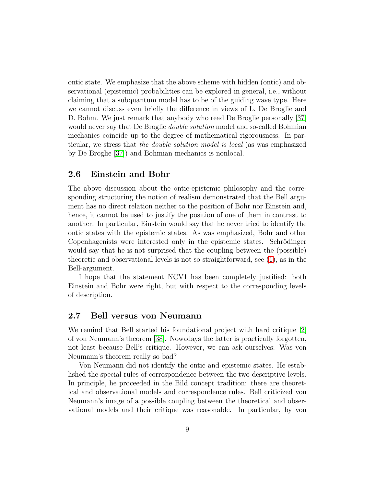ontic state. We emphasize that the above scheme with hidden (ontic) and observational (epistemic) probabilities can be explored in general, i.e., without claiming that a subquantum model has to be of the guiding wave type. Here we cannot discuss even briefly the difference in views of L. De Broglie and D. Bohm. We just remark that anybody who read De Broglie personally [\[37\]](#page-22-9) would never say that De Broglie *double solution* model and so-called Bohmian mechanics coincide up to the degree of mathematical rigorousness. In particular, we stress that *the double solution model is local* (as was emphasized by De Broglie [\[37\]](#page-22-9)) and Bohmian mechanics is nonlocal.

### 2.6 Einstein and Bohr

The above discussion about the ontic-epistemic philosophy and the corresponding structuring the notion of realism demonstrated that the Bell argument has no direct relation neither to the position of Bohr nor Einstein and, hence, it cannot be used to justify the position of one of them in contrast to another. In particular, Einstein would say that he never tried to identify the ontic states with the epistemic states. As was emphasized, Bohr and other Copenhagenists were interested only in the epistemic states. Schrödinger would say that he is not surprised that the coupling between the (possible) theoretic and observational levels is not so straightforward, see [\(1\)](#page-5-0), as in the Bell-argument.

I hope that the statement NCV1 has been completely justified: both Einstein and Bohr were right, but with respect to the corresponding levels of description.

### 2.7 Bell versus von Neumann

We remind that Bell started his foundational project with hard critique [\[2\]](#page-19-1) of von Neumann's theorem [\[38\]](#page-23-0). Nowadays the latter is practically forgotten, not least because Bell's critique. However, we can ask ourselves: Was von Neumann's theorem really so bad?

Von Neumann did not identify the ontic and epistemic states. He established the special rules of correspondence between the two descriptive levels. In principle, he proceeded in the Bild concept tradition: there are theoretical and observational models and correspondence rules. Bell criticized von Neumann's image of a possible coupling between the theoretical and observational models and their critique was reasonable. In particular, by von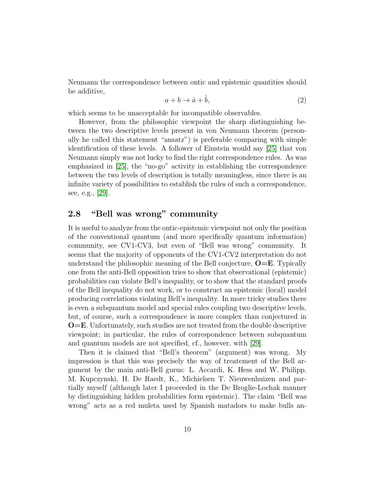Neumann the correspondence between ontic and epistemic quantities should be additive,

$$
a + b \to \hat{a} + \hat{b}, \tag{2}
$$

which seems to be unacceptable for incompatible observables.

However, from the philosophic viewpoint the sharp distinguishing between the two descriptive levels present in von Neumann theorem (personally he called this statement "ansatz") is preferable comparing with simple identification of these levels. A follower of Einstein would say [\[25\]](#page-21-1) that von Neumann simply was not lucky to find the right correspondence rules. As was emphasized in [\[25\]](#page-21-1), the "no-go" activity in establishing the correspondence between the two levels of description is totally meaningless, since there is an infinite variety of possibilities to establish the rules of such a correspondence, see, e.g., [\[29\]](#page-22-1).

### 2.8 "Bell was wrong" community

It is useful to analyze from the ontic-epistemic viewpoint not only the position of the conventional quantum (and more specifically quantum information) community, see CV1-CV3, but even of "Bell was wrong" community. It seems that the majority of opponents of the CV1-CV2 interpretation do not understand the philosophic meaning of the Bell conjecture,  $O=E$ . Typically one from the anti-Bell opposition tries to show that observational (epistemic) probabilities can violate Bell's inequality, or to show that the standard proofs of the Bell inequality do not work, or to construct an epistemic (local) model producing correlations violating Bell's inequality. In more tricky studies there is even a subquantum model and special rules coupling two descriptive levels, but, of course, such a correspondence is more complex than conjectured in O=E. Unfortunately, such studies are not treated from the double descriptive viewpoint; in particular, the rules of correspondence between subquantum and quantum models are not specified, cf., however, with [\[29\]](#page-22-1).

Then it is claimed that "Bell's theorem" (argument) was wrong. My impression is that this was precisely the way of treatement of the Bell argument by the main anti-Bell gurus: L. Accardi, K. Hess and W. Philipp, M. Kupczynski, H. De Raedt, K., Michielsen T. Nieuwenhuizen and partially myself (although later I proceeded in the De Broglie-Lochak manner by distinguishing hidden probabilities form epistemic). The claim "Bell was wrong" acts as a red muleta used by Spanish matadors to make bulls an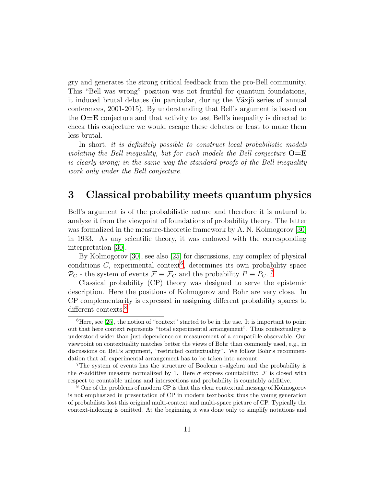gry and generates the strong critical feedback from the pro-Bell community. This "Bell was wrong" position was not fruitful for quantum foundations, it induced brutal debates (in particular, during the Växjö series of annual conferences, 2001-2015). By understanding that Bell's argument is based on the  $O=E$  conjecture and that activity to test Bell's inequality is directed to check this conjecture we would escape these debates or least to make them less brutal.

In short, *it is definitely possible to construct local probabilistic models violating the Bell inequality, but for such models the Bell conjecture*  $O=E$ *is clearly wrong; in the same way the standard proofs of the Bell inequality work only under the Bell conjecture.*

## <span id="page-10-0"></span>3 Classical probability meets quantum physics

Bell's argument is of the probabilistic nature and therefore it is natural to analyze it from the viewpoint of foundations of probability theory. The latter was formalized in the measure-theoretic framework by A. N. Kolmogorov [\[30\]](#page-22-2) in 1933. As any scientific theory, it was endowed with the corresponding interpretation [\[30\]](#page-22-2).

By Kolmogorov [\[30\]](#page-22-2), see also [\[25\]](#page-21-1) for discussions, any complex of physical conditions  $C$ , experimental context<sup>[6](#page-10-1)</sup>, determines its own probability space  $\mathcal{P}_C$  - the system of events  $\mathcal{F} \equiv \mathcal{F}_C$  and the probability  $P \equiv P_C$ .<sup>[7](#page-10-2)</sup>

Classical probability (CP) theory was designed to serve the epistemic description. Here the positions of Kolmogorov and Bohr are very close. In CP complementarity is expressed in assigning different probability spaces to different contexts.<sup>[8](#page-10-3)</sup>

<span id="page-10-1"></span> ${}^{6}$ Here, see [\[25\]](#page-21-1), the notion of "context" started to be in the use. It is important to point out that here context represents "total experimental arrangement". Thus contextuality is understood wider than just dependence on measurement of a compatible observable. Our viewpoint on contextuality matches better the views of Bohr than commonly used, e.g., in discussions on Bell's argument, "restricted contextuality". We follow Bohr's recommendation that all experimental arrangement has to be taken into account.

<span id="page-10-2"></span><sup>&</sup>lt;sup>7</sup>The system of events has the structure of Boolean  $\sigma$ -algebra and the probability is the  $\sigma$ -additive measure normalized by 1. Here  $\sigma$  express countability: F is closed with respect to countable unions and intersections and probability is countably additive.

<span id="page-10-3"></span><sup>&</sup>lt;sup>8</sup> One of the problems of modern CP is that this clear contextual message of Kolmogorov is not emphasized in presentation of CP in modern textbooks; thus the young generation of probabilists lost this original multi-context and multi-space picture of CP. Typically the context-indexing is omitted. At the beginning it was done only to simplify notations and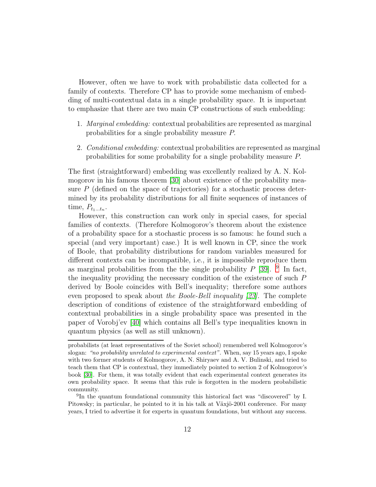However, often we have to work with probabilistic data collected for a family of contexts. Therefore CP has to provide some mechanism of embedding of multi-contextual data in a single probability space. It is important to emphasize that there are two main CP constructions of such embedding:

- 1. *Marginal embedding:* contextual probabilities are represented as marginal probabilities for a single probability measure P.
- 2. *Conditional embedding:* contextual probabilities are represented as marginal probabilities for some probability for a single probability measure P.

The first (straightforward) embedding was excellently realized by A. N. Kolmogorov in his famous theorem [\[30\]](#page-22-2) about existence of the probability measure  $P$  (defined on the space of trajectories) for a stochastic process determined by its probability distributions for all finite sequences of instances of time,  $P_{t_1...t_n}$ .

However, this construction can work only in special cases, for special families of contexts. (Therefore Kolmogorov's theorem about the existence of a probability space for a stochastic process is so famous: he found such a special (and very important) case.) It is well known in CP, since the work of Boole, that probability distributions for random variables measured for different contexts can be incompatible, i.e., it is impossible reproduce them as marginal probabilities from the the single probability  $P$  [\[39\]](#page-23-1). <sup>[9](#page-11-0)</sup> In fact, the inequality providing the necessary condition of the existence of such P derived by Boole coincides with Bell's inequality; therefore some authors even proposed to speak about *the Boole-Bell inequality [\[23\]](#page-21-3).* The complete description of conditions of existence of the straightforward embedding of contextual probabilities in a single probability space was presented in the paper of Vorobj'ev [\[40\]](#page-23-2) which contains all Bell's type inequalities known in quantum physics (as well as still unknown).

probabilists (at least representatives of the Soviet school) remembered well Kolmogorov's slogan: "no probability unrelated to experimental context". When, say 15 years ago, I spoke with two former students of Kolmogorov, A. N. Shiryaev and A. V. Bulinski, and tried to teach them that CP is contextual, they immediately pointed to section 2 of Kolmogorov's book [\[30\]](#page-22-2). For them, it was totally evident that each experimental context generates its own probability space. It seems that this rule is forgotten in the modern probabilistic community.

<span id="page-11-0"></span><sup>&</sup>lt;sup>9</sup>In the quantum foundational community this historical fact was "discovered" by I. Pitowsky; in particular, he pointed to it in his talk at Växjö-2001 conference. For many years, I tried to advertise it for experts in quantum foundations, but without any success.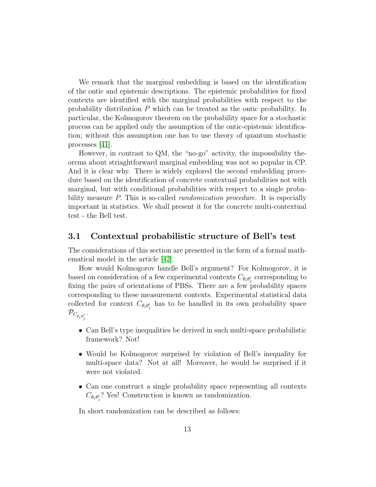We remark that the marginal embedding is based on the identification of the ontic and epistemic descriptions. The epistemic probabilities for fixed contexts are identified with the marginal probabilities with respect to the probability distribution P which can be treated as the ontic probability. In particular, the Kolmogorov theorem on the probability space for a stochastic process can be applied only the assumption of the ontic-epistemic identification; without this assumption one has to use theory of quantum stochastic processes [\[41\]](#page-23-3).

However, in contrast to QM, the "no-go" activity, the impossibility theorems about striaghtforward marginal embedding was not so popular in CP. And it is clear why. There is widely explored the second embedding procedure based on the identification of concrete contextual probabilities not with marginal, but with conditional probabilities with respect to a single probability measure P. This is so-called *randomization procedure.* It is especially important in statistics. We shall present it for the concrete multi-contextual test - the Bell test.

### 3.1 Contextual probabilistic structure of Bell's test

The considerations of this section are presented in the form of a formal mathematical model in the article [\[42\]](#page-23-4).

How would Kolmogorov handle Bell's argument? For Kolmogorov, it is based on consideration of a few experimental contexts  $C_{\theta_i \theta'_j}$  corresponding to fixing the pairs of orientations of PBSs. There are a few probability spaces corresponding to these measurement contexts. Experimental statistical data collected for context  $C_{\theta_i \theta'_j}$  has to be handled in its own probability space  $\mathcal{P}_{C_{\theta_i\theta'_j}}$ .

- Can Bell's type inequalities be derived in such multi-space probabilistic framework? Not!
- Would be Kolmogorov surprised by violation of Bell's inequality for multi-space data? Not at all! Moreover, he would be surprised if it were not violated.
- Can one construct a single probability space representing all contexts  $C_{\theta_i \theta'_j}$ ? Yes! Construction is known as randomization.

In short randomization can be described as follows: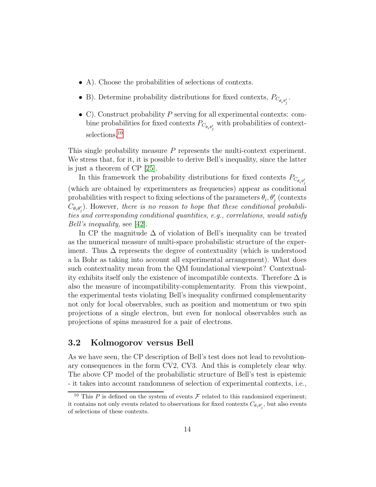- A). Choose the probabilities of selections of contexts.
- B). Determine probability distributions for fixed contexts,  $P_{C_{\theta_i \theta'_j}}$ .
- C). Construct probability  $P$  serving for all experimental contexts: combine probabilities for fixed contexts  $P_{C_{\theta_i\theta'_j}}$  with probabilities of context-selections.<sup>[10](#page-13-0)</sup>

This single probability measure P represents the multi-context experiment. We stress that, for it, it is possible to derive Bell's inequality, since the latter is just a theorem of CP [\[25\]](#page-21-1).

In this framework the probability distributions for fixed contexts  $P_{C_{\theta_i \theta'_j}}$ (which are obtained by experimenters as frequencies) appear as conditional probabilities with respect to fixing selections of the parameters  $\theta_i$ ,  $\theta'_j$  (contexts  $C_{\theta_i \theta'_j}$ ). However, *there is no reason to hope that these conditional probabilities and corresponding conditional quantities, e.g., correlations, would satisfy Bell's inequality,* see [\[42\]](#page-23-4).

In CP the magnitude  $\Delta$  of violation of Bell's inequality can be treated as the numerical measure of multi-space probabilistic structure of the experiment. Thus  $\Delta$  represents the degree of contextuality (which is understood a la Bohr as taking into account all experimental arrangement). What does such contextuality mean from the QM foundational viewpoint? Contextuality exhibits itself only the existence of incompatible contexts. Therefore  $\Delta$  is also the measure of incompatibility-complementarity. From this viewpoint, the experimental tests violating Bell's inequality confirmed complementarity not only for local observables, such as position and momentum or two spin projections of a single electron, but even for nonlocal observables such as projections of spins measured for a pair of electrons.

### 3.2 Kolmogorov versus Bell

As we have seen, the CP description of Bell's test does not lead to revolutionary consequences in the form CV2, CV3. And this is completely clear why. The above CP model of the probabilistic structure of Bell's test is epistemic - it takes into account randomness of selection of experimental contexts, i.e.,

<span id="page-13-0"></span><sup>&</sup>lt;sup>10</sup> This P is defined on the system of events F related to this randomized experiment; it contains not only events related to observations for fixed contexts  $C_{\theta_i \theta'_j}$ , but also events of selections of these contexts.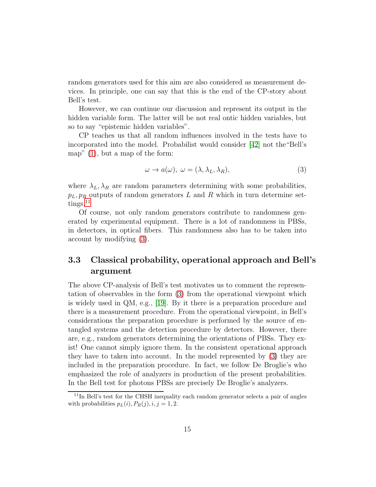random generators used for this aim are also considered as measurement devices. In principle, one can say that this is the end of the CP-story about Bell's test.

However, we can continue our discussion and represent its output in the hidden variable form. The latter will be not real ontic hidden variables, but so to say "epistemic hidden variables".

CP teaches us that all random influences involved in the tests have to incorporated into the model. Probabilist would consider [\[42\]](#page-23-4) not the"Bell's map" [\(1\)](#page-5-0), but a map of the form:

<span id="page-14-1"></span>
$$
\omega \to a(\omega), \ \omega = (\lambda, \lambda_L, \lambda_R), \tag{3}
$$

where  $\lambda_L, \lambda_R$  are random parameters determining with some probabilities,  $p_L, p_R$  outputs of random generators L and R which in turn determine set- $tings.<sup>11</sup>$  $tings.<sup>11</sup>$  $tings.<sup>11</sup>$ 

Of course, not only random generators contribute to randomness generated by experimental equipment. There is a lot of randomness in PBSs, in detectors, in optical fibers. This randomness also has to be taken into account by modifying [\(3\)](#page-14-1).

### 3.3 Classical probability, operational approach and Bell's argument

The above CP-analysis of Bell's test motivates us to comment the representation of observables in the form [\(3\)](#page-14-1) from the operational viewpoint which is widely used in QM, e.g., [\[19\]](#page-21-6). By it there is a preparation procedure and there is a measurement procedure. From the operational viewpoint, in Bell's considerations the preparation procedure is performed by the source of entangled systems and the detection procedure by detectors. However, there are, e.g., random generators determining the orientations of PBSs. They exist! One cannot simply ignore them. In the consistent operational approach they have to taken into account. In the model represented by [\(3\)](#page-14-1) they are included in the preparation procedure. In fact, we follow De Broglie's who emphasized the role of analyzers in production of the present probabilities. In the Bell test for photons PBSs are precisely De Broglie's analyzers.

<span id="page-14-0"></span> $11$ In Bell's test for the CHSH inequality each random generator selects a pair of angles with probabilities  $p_L(i), P_R(j), i, j = 1, 2$ .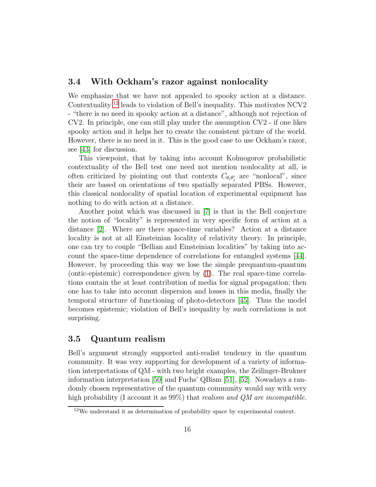#### 3.4 With Ockham's razor against nonlocality

We emphasize that we have not appealed to spooky action at a distance. Contextuality [12](#page-15-0) leads to violation of Bell's inequality. This motivates NCV2 - "there is no need in spooky action at a distance", although not rejection of CV2. In principle, one can still play under the assumption CV2 - if one likes spooky action and it helps her to create the consistent picture of the world. However, there is no need in it. This is the good case to use Ockham's razor, see [\[43\]](#page-23-5) for discussion.

This viewpoint, that by taking into account Kolmogorov probabilistic contextuality of the Bell test one need not mention nonlocality at all, is often criticized by piointing out that contexts  $C_{\theta_i \theta'_j}$  are "nonlocal", since their are based on orientations of two spatially separated PBSs. However, this classical nonlocality of spatial location of experimental equipment has nothing to do with action at a distance.

Another point which was discussed in [\[7\]](#page-20-3) is that in the Bell conjecture the notion of "locality" is represented in very specific form of action at a distance [\[2\]](#page-19-1). Where are there space-time variables? Action at a distance locality is not at all Einsteinian locality of relativity theory. In principle, one can try to couple "Bellian and Einsteinian localities" by taking into account the space-time dependence of correlations for entangled systems [\[44\]](#page-23-6). However, by proceeding this way we lose the simple prequantum-quantum (ontic-epistemic) correspondence given by [\(1\)](#page-5-0). The real space-time correlations contain the at least contribution of media for signal propagation; then one has to take into account dispersion and losses in this media, finally the temporal structure of functioning of photo-detectors [\[45\]](#page-23-7). Thus the model becomes epistemic; violation of Bell's inequality by such correlations is not surprising.

### <span id="page-15-1"></span>3.5 Quantum realism

Bell's argument strongly supported anti-realist tendency in the quantum community. It was very supporting for development of a variety of information interpretations of QM - with two bright examples, the Zeilinger-Brukner information interpretation [\[50\]](#page-23-8) and Fuchs' QBism [\[51\]](#page-24-0), [\[52\]](#page-24-1). Nowadays a randomly chosen representative of the quantum community would say with very high probability (I account it as 99%) that *realism and QM are incompatible.*

<span id="page-15-0"></span> $12$ We understand it as determination of probability space by experimental context.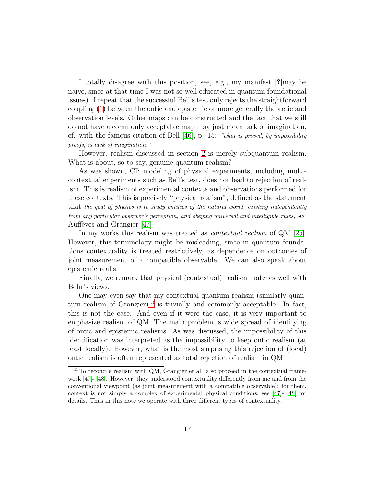I totally disagree with this position, see, e.g., my manifest [?]may be naive, since at that time I was not so well educated in quantum foundational issues). I repeat that the successful Bell's test only rejects the straightforward coupling [\(1\)](#page-5-0) between the ontic and epistemic or more generally theoretic and observation levels. Other maps can be constructed and the fact that we still do not have a commonly acceptable map may just mean lack of imagination, cf. with the famous citation of Bell  $[46]$ , p. 15: "what is proved, by impossibility proofs, is lack of imagination."

However, realism discussed in section [2](#page-3-1) is merely subquantum realism. What is about, so to say, genuine quantum realism?

As was shown, CP modeling of physical experiments, including multicontextual experiments such as Bell's test, does not lead to rejection of realism. This is realism of experimental contexts and observations performed for these contexts. This is precisely "physical realism", defined as the statement that the goal of physics is to study entities of the natural world, existing independently from any particular observer's perception, and obeying universal and intelligible rules, see Auffèves and Grangier [\[47\]](#page-23-10).

In my works this realism was treated as *contextual realism* of QM [\[25\]](#page-21-1). However, this terminology might be misleading, since in quantum foundations contextuality is treated restrictively, as dependence on outcomes of joint measurement of a compatible observable. We can also speak about epistemic realism.

Finally, we remark that physical (contextual) realism matches well with Bohr's views.

One may even say that my contextual quantum realism (similarly quan-tum realism of Grangier)<sup>[13](#page-16-0)</sup> is trivially and commonly acceptable. In fact, this is not the case. And even if it were the case, it is very important to emphasize realism of QM. The main problem is wide spread of identifying of ontic and epistemic realisms. As was discussed, the impossibility of this identification was interpreted as the impossibility to keep ontic realism (at least locally). However, what is the most surprising this rejection of (local) ontic realism is often represented as total rejection of realism in QM.

<span id="page-16-0"></span><sup>13</sup>To reconcile realism with QM, Grangier et al. also proceed in the contextual framework [\[47\]](#page-23-10)- [\[48\]](#page-23-11). However, they understood contextuality differently from me and from the conventional viewpoint (as joint measurement with a compatible observable); for them, context is not simply a complex of experimental physical conditions, see [\[47\]](#page-23-10)- [\[48\]](#page-23-11) for details. Thus in this note we operate with three different types of contextuality.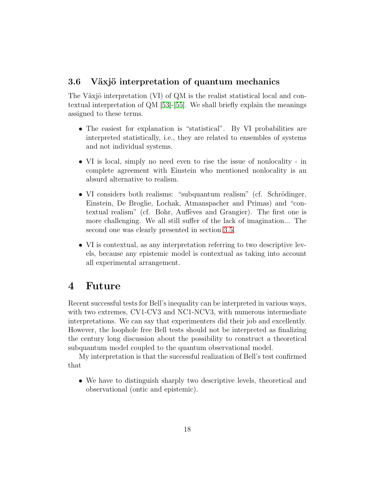### 3.6 Växjö interpretation of quantum mechanics

The Växjö interpretation  $(VI)$  of QM is the realist statistical local and contextual interpretation of QM [\[53\]](#page-24-2)-[\[55\]](#page-24-3). We shall briefly explain the meanings assigned to these terms.

- The easiest for explanation is "statistical". By VI probabilities are interpreted statistically, i.e., they are related to ensembles of systems and not individual systems.
- VI is local, simply no need even to rise the issue of nonlocality in complete agreement with Einstein who mentioned nonlocality is an absurd alternative to realism.
- VI considers both realisms: "subquantum realism" (cf. Schrödinger, Einstein, De Broglie, Lochak, Atmanspacher and Primas) and "contextual realism" (cf. Bohr, Auffèves and Grangier). The first one is more challenging. We all still suffer of the lack of imagination... The second one was clearly presented in section [3.5.](#page-15-1)
- VI is contextual, as any interpretation referring to two descriptive levels, because any epistemic model is contextual as taking into account all experimental arrangement.

## 4 Future

Recent successful tests for Bell's inequality can be interpreted in various ways, with two extremes, CV1-CV3 and NC1-NCV3, with numerous intermediate interpretations. We can say that experimenters did their job and excellently. However, the loophole free Bell tests should not be interpreted as finalizing the century long discussion about the possibility to construct a theoretical subquantum model coupled to the quantum observational model.

My interpretation is that the successful realization of Bell's test confirmed that

• We have to distinguish sharply two descriptive levels, theoretical and observational (ontic and epistemic).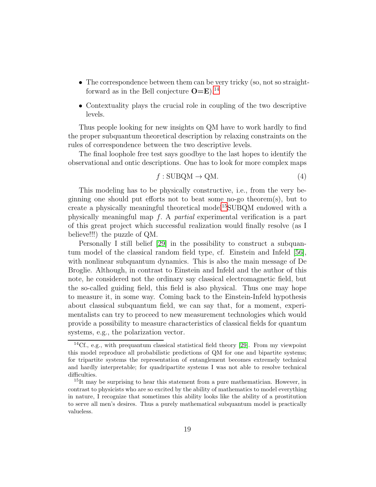- The correspondence between them can be very tricky (so, not so straightforward as in the Bell conjecture  $O=E$ <sup>[14](#page-18-0)</sup>
- Contextuality plays the crucial role in coupling of the two descriptive levels.

Thus people looking for new insights on QM have to work hardly to find the proper subquantum theoretical description by relaxing constraints on the rules of correspondence between the two descriptive levels.

The final loophole free test says goodbye to the last hopes to identify the observational and ontic descriptions. One has to look for more complex maps

$$
f: SUBQM \to QM.
$$
 (4)

This modeling has to be physically constructive, i.e., from the very beginning one should put efforts not to beat some no-go theorem(s), but to create a physically meaningful theoretical model<sup>[15](#page-18-1)</sup>SUBQM endowed with a physically meaningful map f. A *partial* experimental verification is a part of this great project which successful realization would finally resolve (as I believe!!!) the puzzle of QM.

Personally I still belief [\[29\]](#page-22-1) in the possibility to construct a subquantum model of the classical random field type, cf. Einstein and Infeld [\[56\]](#page-24-4), with nonlinear subquantum dynamics. This is also the main message of De Broglie. Although, in contrast to Einstein and Infeld and the author of this note, he considered not the ordinary say classical electromagnetic field, but the so-called guiding field, this field is also physical. Thus one may hope to measure it, in some way. Coming back to the Einstein-Infeld hypothesis about classical subquantum field, we can say that, for a moment, experimentalists can try to proceed to new measurement technologies which would provide a possibility to measure characteristics of classical fields for quantum systems, e.g., the polarization vector.

<span id="page-18-0"></span> $14Cf., e.g., with prequantum classical statistical field theory [29]. From my viewpoint$  $14Cf., e.g., with prequantum classical statistical field theory [29]. From my viewpoint$  $14Cf., e.g., with prequantum classical statistical field theory [29]. From my viewpoint$ this model reproduce all probabilistic predictions of QM for one and bipartite systems; for tripartite systems the representation of entanglement becomes extremely technical and hardly interpretable; for quadripartite systems I was not able to resolve technical difficulties.

<span id="page-18-1"></span><sup>&</sup>lt;sup>15</sup>It may be surprising to hear this statement from a pure mathematician. However, in contrast to physicists who are so excited by the ability of mathematics to model everything in nature, I recognize that sometimes this ability looks like the ability of a prostitution to serve all men's desires. Thus a purely mathematical subquantum model is practically valueless.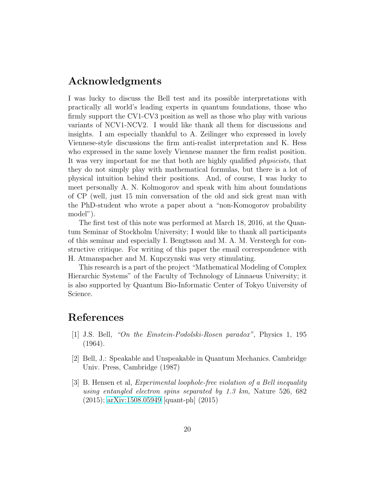## Acknowledgments

I was lucky to discuss the Bell test and its possible interpretations with practically all world's leading experts in quantum foundations, those who firmly support the CV1-CV3 position as well as those who play with various variants of NCV1-NCV2. I would like thank all them for discussions and insights. I am especially thankful to A. Zeilinger who expressed in lovely Viennese-style discussions the firm anti-realist interpretation and K. Hess who expressed in the same lovely Viennese manner the firm realist position. It was very important for me that both are highly qualified *physicists,* that they do not simply play with mathematical formulas, but there is a lot of physical intuition behind their positions. And, of course, I was lucky to meet personally A. N. Kolmogorov and speak with him about foundations of CP (well, just 15 min conversation of the old and sick great man with the PhD-student who wrote a paper about a "non-Komogorov probability model").

The first test of this note was performed at March 18, 2016, at the Quantum Seminar of Stockholm University; I would like to thank all participants of this seminar and especially I. Bengtsson and M. A. M. Versteegh for constructive critique. For writing of this paper the email correspondence with H. Atmanspacher and M. Kupczynski was very stimulating.

This research is a part of the project "Mathematical Modeling of Complex Hierarchic Systems" of the Faculty of Technology of Linnaeus University; it is also supported by Quantum Bio-Informatic Center of Tokyo University of Science.

## <span id="page-19-0"></span>References

- [1] J.S. Bell, *"On the Einstein-Podolski-Rosen paradox"*, Physics 1, 195 (1964).
- <span id="page-19-1"></span>[2] Bell, J.: Speakable and Unspeakable in Quantum Mechanics. Cambridge Univ. Press, Cambridge (1987)
- <span id="page-19-2"></span>[3] B. Hensen et al, *Experimental loophole-free violation of a Bell inequality using entangled electron spins separated by 1.3 km*, Nature 526, 682 (2015); [arXiv:1508.05949](http://arxiv.org/abs/1508.05949) [quant-ph] (2015)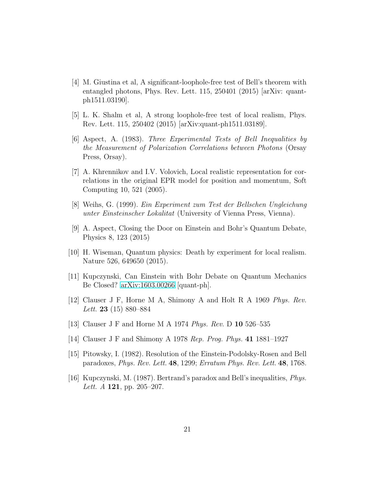- <span id="page-20-0"></span>[4] M. Giustina et al, A significant-loophole-free test of Bell's theorem with entangled photons, Phys. Rev. Lett. 115, 250401 (2015) [arXiv: quantph1511.03190].
- <span id="page-20-2"></span><span id="page-20-1"></span>[5] L. K. Shalm et al, A strong loophole-free test of local realism, Phys. Rev. Lett. 115, 250402 (2015) [arXiv:quant-ph1511.03189].
- [6] Aspect, A. (1983). *Three Experimental Tests of Bell Inequalities by the Measurement of Polarization Correlations between Photons* (Orsay Press, Orsay).
- <span id="page-20-3"></span>[7] A. Khrennikov and I.V. Volovich, Local realistic representation for correlations in the original EPR model for position and momentum, Soft Computing 10, 521 (2005).
- <span id="page-20-5"></span><span id="page-20-4"></span>[8] Weihs, G. (1999). *Ein Experiment zum Test der Bellschen Ungleichung unter Einsteinscher Lokalitat* (University of Vienna Press, Vienna).
- [9] A. Aspect, Closing the Door on Einstein and Bohr's Quantum Debate, Physics 8, 123 (2015)
- <span id="page-20-6"></span>[10] H. Wiseman, Quantum physics: Death by experiment for local realism. Nature 526, 649650 (2015).
- <span id="page-20-8"></span><span id="page-20-7"></span>[11] Kupczynski, Can Einstein with Bohr Debate on Quantum Mechanics Be Closed? [arXiv:1603.00266](http://arxiv.org/abs/1603.00266) [quant-ph].
- [12] Clauser J F, Horne M A, Shimony A and Holt R A 1969 *Phys. Rev. Lett.* 23 (15) 880–884
- <span id="page-20-9"></span>[13] Clauser J F and Horne M A 1974 *Phys. Rev.* D 10 526–535
- <span id="page-20-10"></span>[14] Clauser J F and Shimony A 1978 *Rep. Prog. Phys.* 41 1881–1927
- <span id="page-20-11"></span>[15] Pitowsky, I. (1982). Resolution of the Einstein-Podolsky-Rosen and Bell paradoxes, *Phys. Rev. Lett.* 48, 1299; *Erratum Phys. Rev. Lett.* 48, 1768.
- [16] Kupczynski, M. (1987). Bertrand's paradox and Bell's inequalities, *Phys. Lett. A* 121, pp. 205–207.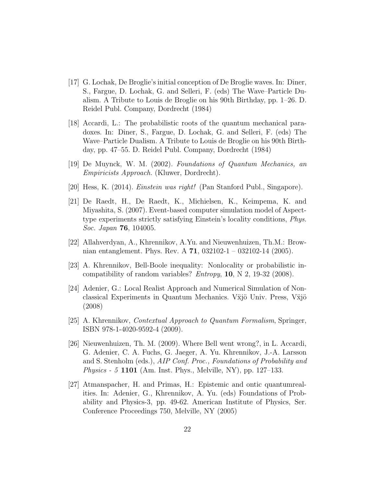- <span id="page-21-5"></span>[17] G. Lochak, De Broglie's initial conception of De Broglie waves. In: Diner, S., Fargue, D. Lochak, G. and Selleri, F. (eds) The Wave–Particle Dualism. A Tribute to Louis de Broglie on his 90th Birthday, pp. 1–26. D. Reidel Publ. Company, Dordrecht (1984)
- [18] Accardi, L.: The probabilistic roots of the quantum mechanical paradoxes. In: Diner, S., Fargue, D. Lochak, G. and Selleri, F. (eds) The Wave–Particle Dualism. A Tribute to Louis de Broglie on his 90th Birthday, pp. 47–55. D. Reidel Publ. Company, Dordrecht (1984)
- <span id="page-21-6"></span><span id="page-21-4"></span>[19] De Muynck, W. M. (2002). *Foundations of Quantum Mechanics, an Empiricists Approach.* (Kluwer, Dordrecht).
- [20] Hess, K. (2014). *Einstein was right!* (Pan Stanford Publ., Singapore).
- [21] De Raedt, H., De Raedt, K., Michielsen, K., Keimpema, K. and Miyashita, S. (2007). Event-based computer simulation model of Aspecttype experiments strictly satisfying Einstein's locality conditions, *Phys. Soc. Japan* 76, 104005.
- <span id="page-21-3"></span>[22] Allahverdyan, A., Khrennikov, A.Yu. and Nieuwenhuizen, Th.M.: Brownian entanglement. Phys. Rev. A 71, 032102-1 – 032102-14 (2005).
- [23] A. Khrennikov, Bell-Boole inequality: Nonlocality or probabilistic incompatibility of random variables? *Entropy*, 10, N 2, 19-32 (2008).
- [24] Adenier, G.: Local Realist Approach and Numerical Simulation of Nonclassical Experiments in Quantum Mechanics. V $\ddot{x}$ jö Univ. Press, V $\ddot{x}$ jö (2008)
- <span id="page-21-1"></span>[25] A. Khrennikov, *Contextual Approach to Quantum Formalism*, Springer, ISBN 978-1-4020-9592-4 (2009).
- <span id="page-21-0"></span>[26] Nieuwenhuizen, Th. M. (2009). Where Bell went wrong?, in L. Accardi, G. Adenier, C. A. Fuchs, G. Jaeger, A. Yu. Khrennikov, J.-A. Larsson and S. Stenholm (eds.), *AIP Conf. Proc., Foundations of Probability and Physics - 5* 1101 (Am. Inst. Phys., Melville, NY), pp. 127–133.
- <span id="page-21-2"></span>[27] Atmanspacher, H. and Primas, H.: Epistemic and ontic quantumrealities. In: Adenier, G., Khrennikov, A. Yu. (eds) Foundations of Probability and Physics-3, pp. 49-62. American Institute of Physics, Ser. Conference Proceedings 750, Melville, NY (2005)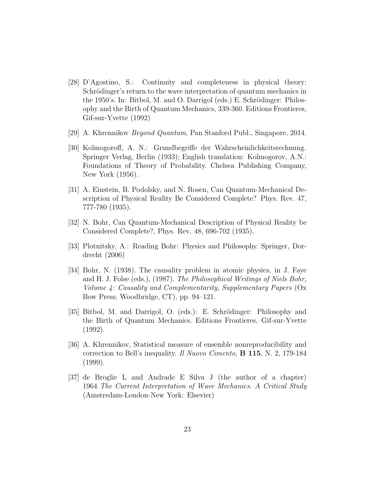- <span id="page-22-0"></span>[28] D'Agostino, S.: Continuity and completeness in physical theory: Schrödinger's return to the wave interpretation of quantum mechanics in the 1950's. In: Bitbol, M. and O. Darrigol (eds.) E. Schrödinger: Philosophy and the Birth of Quantum Mechanics, 339-360. Editions Frontieres, Gif-sur-Yvette (1992)
- <span id="page-22-2"></span><span id="page-22-1"></span>[29] A. Khrennikov *Beyond Quantum*, Pan Stanford Publ., Singapore, 2014.
- [30] Kolmogoroff, A. N.: Grundbegriffe der Wahrscheinlichkeitsrechnung. Springer Verlag, Berlin (1933); English translation: Kolmogorov, A.N.: Foundations of Theory of Probability. Chelsea Publishing Company, New York (1956).
- <span id="page-22-3"></span>[31] A. Einstein, B. Podolsky, and N. Rosen, Can Quantum-Mechanical Description of Physical Reality Be Considered Complete? Phys. Rev. 47, 777-780 (1935).
- <span id="page-22-4"></span>[32] N. Bohr, Can Quantum-Mechanical Description of Physical Reality be Considered Complete?, Phys. Rev. 48, 696-702 (1935).
- <span id="page-22-5"></span>[33] Plotnitsky, A.: Reading Bohr: Physics and Philosophy. Springer, Dordrecht (2006)
- <span id="page-22-6"></span>[34] Bohr, N. (1938). The causality problem in atomic physics, in J. Faye and H. J. Folse (eds.), (1987). *The Philosophical Writings of Niels Bohr, Volume 4: Causality and Complementarity, Supplementary Papers* (Ox Bow Press; Woodbridge, CT), pp. 94–121.
- <span id="page-22-7"></span>[35] Bitbol, M. and Darrigol, O. (eds.): E. Schrödinger: Philosophy and the Birth of Quantum Mechanics. Editions Frontieres, Gif-sur-Yvette (1992).
- <span id="page-22-8"></span>[36] A. Khrennikov, Statistical measure of ensemble nonreproducibility and correction to Bell's inequality. *Il Nuovo Cimento,* B 115, N. 2, 179-184 (1999).
- <span id="page-22-9"></span>[37] de Broglie L and Andrade E Silva J (the author of a chapter) 1964 *The Current Interpretation of Wave Mechanics. A Critical Study* (Amstredam-London-New York: Elsevier)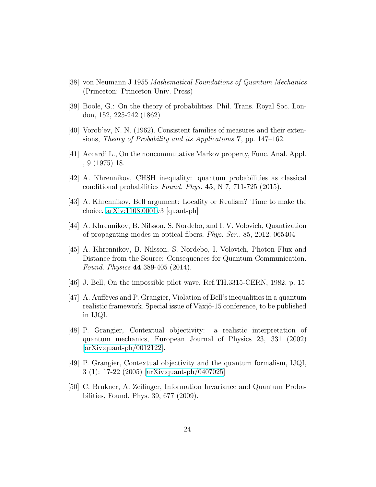- <span id="page-23-1"></span><span id="page-23-0"></span>[38] von Neumann J 1955 *Mathematical Foundations of Quantum Mechanics* (Princeton: Princeton Univ. Press)
- <span id="page-23-2"></span>[39] Boole, G.: On the theory of probabilities. Phil. Trans. Royal Soc. London, 152, 225-242 (1862)
- <span id="page-23-3"></span>[40] Vorob'ev, N. N. (1962). Consistent families of measures and their extensions, *Theory of Probability and its Applications* 7, pp. 147–162.
- <span id="page-23-4"></span>[41] Accardi L., On the noncommutative Markov property, Func. Anal. Appl. , 9 (1975) 18.
- <span id="page-23-5"></span>[42] A. Khrennikov, CHSH inequality: quantum probabilities as classical conditional probabilities *Found. Phys.* 45, N 7, 711-725 (2015).
- <span id="page-23-6"></span>[43] A. Khrennikov, Bell argument: Locality or Realism? Time to make the choice. [arXiv:1108.0001v](http://arxiv.org/abs/1108.0001)3 [quant-ph]
- <span id="page-23-7"></span>[44] A. Khrennikov, B. Nilsson, S. Nordebo, and I. V. Volovich, Quantization of propagating modes in optical fibers, *Phys. Scr.*, 85, 2012. 065404
- [45] A. Khrennikov, B. Nilsson, S. Nordebo, I. Volovich, Photon Flux and Distance from the Source: Consequences for Quantum Communication. *Found. Physics* 44 389-405 (2014).
- <span id="page-23-10"></span><span id="page-23-9"></span>[46] J. Bell, On the impossible pilot wave, Ref.TH.3315-CERN, 1982, p. 15
- $[47]$  A. Auffèves and P. Grangier, Violation of Bell's inequalities in a quantum realistic framework. Special issue of Växjö-15 conference, to be published in IJQI.
- <span id="page-23-11"></span>[48] P. Grangier, Contextual objectivity: a realistic interpretation of quantum mechanics, European Journal of Physics 23, 331 (2002) [\[arXiv:quant-ph/0012122\]](http://arxiv.org/abs/quant-ph/0012122).
- [49] P. Grangier, Contextual objectivity and the quantum formalism, IJQI, 3 (1): 17-22 (2005) [\[arXiv:quant-ph/0407025\]](http://arxiv.org/abs/quant-ph/0407025)
- <span id="page-23-8"></span>[50] C. Brukner, A. Zeilinger, Information Invariance and Quantum Probabilities, Found. Phys. 39, 677 (2009).